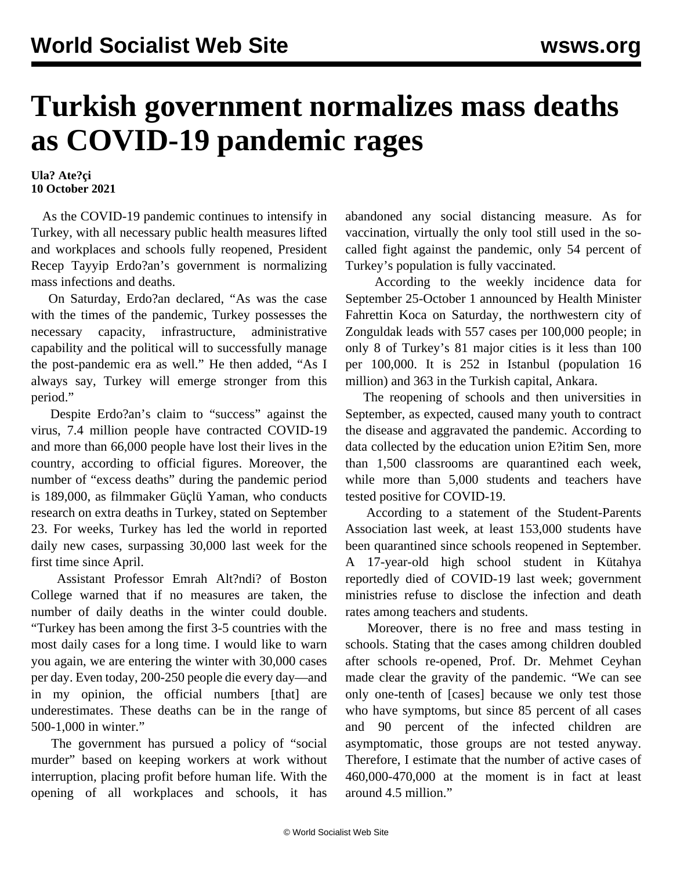## **Turkish government normalizes mass deaths as COVID-19 pandemic rages**

**Ula? Ate?çi 10 October 2021**

 As the COVID-19 pandemic continues to intensify in Turkey, with all necessary public health measures lifted and workplaces and schools fully reopened, President Recep Tayyip Erdo?an's government is normalizing mass infections and deaths.

 On Saturday, Erdo?an declared, "As was the case with the times of the pandemic, Turkey possesses the necessary capacity, infrastructure, administrative capability and the political will to successfully manage the post-pandemic era as well." He then added, "As I always say, Turkey will emerge stronger from this period."

 Despite Erdo?an's claim to "success" against the virus, 7.4 million people have contracted COVID-19 and more than 66,000 people have lost their lives in the country, according to official figures. Moreover, the number of "excess deaths" during the pandemic period is 189,000, as filmmaker Güçlü Yaman, who conducts research on extra deaths in Turkey, stated on September 23. For weeks, Turkey has led the world in reported daily new cases, surpassing 30,000 last week for the first time since April.

 Assistant Professor Emrah Alt?ndi? of Boston College warned that if no measures are taken, the number of daily deaths in the winter could double. "Turkey has been among the first 3-5 countries with the most daily cases for a long time. I would like to warn you again, we are entering the winter with 30,000 cases per day. Even today, 200-250 people die every day—and in my opinion, the official numbers [that] are underestimates. These deaths can be in the range of 500-1,000 in winter."

 The government has pursued a policy of "social murder" based on keeping workers at work without interruption, placing profit before human life. With the opening of all workplaces and schools, it has abandoned any social distancing measure. As for vaccination, virtually the only tool still used in the socalled fight against the pandemic, only 54 percent of Turkey's population is fully vaccinated.

 According to the weekly incidence data for September 25-October 1 announced by Health Minister Fahrettin Koca on Saturday, the northwestern city of Zonguldak leads with 557 cases per 100,000 people; in only 8 of Turkey's 81 major cities is it less than 100 per 100,000. It is 252 in Istanbul (population 16 million) and 363 in the Turkish capital, Ankara.

 The reopening of schools and then universities in September, as expected, caused many youth to contract the disease and aggravated the pandemic. According to data collected by the education union E?itim Sen, more than 1,500 classrooms are quarantined each week, while more than 5,000 students and teachers have tested positive for COVID-19.

 According to a statement of the Student-Parents Association last week, at least 153,000 students have been quarantined since schools reopened in September. A 17-year-old high school student in Kütahya reportedly died of COVID-19 last week; government ministries refuse to disclose the infection and death rates among teachers and students.

 Moreover, there is no free and mass testing in schools. Stating that the cases among children doubled after schools re-opened, Prof. Dr. Mehmet Ceyhan made clear the gravity of the pandemic. "We can see only one-tenth of [cases] because we only test those who have symptoms, but since 85 percent of all cases and 90 percent of the infected children are asymptomatic, those groups are not tested anyway. Therefore, I estimate that the number of active cases of 460,000-470,000 at the moment is in fact at least around 4.5 million."